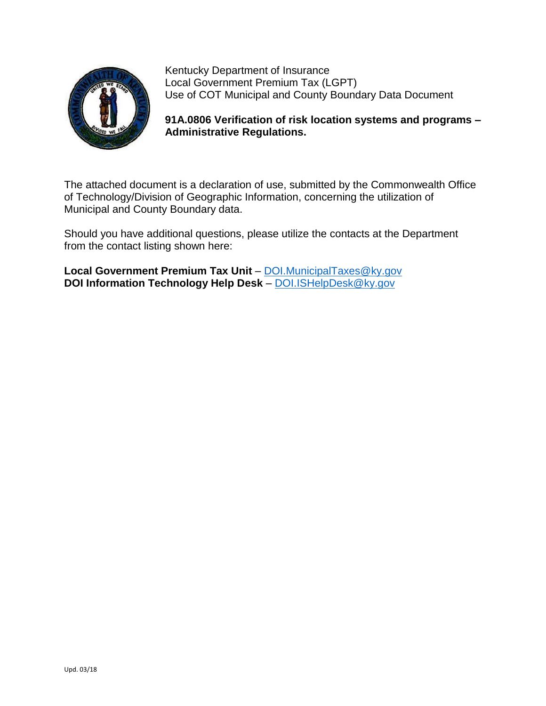

Kentucky Department of Insurance Local Government Premium Tax (LGPT) Use of COT Municipal and County Boundary Data Document

**91A.0806 Verification of risk location systems and programs – Administrative Regulations.**

The attached document is a declaration of use, submitted by the Commonwealth Office of Technology/Division of Geographic Information, concerning the utilization of Municipal and County Boundary data.

Should you have additional questions, please utilize the contacts at the Department from the contact listing shown here:

**Local Government Premium Tax Unit** – [DOI.MunicipalTaxes@ky.gov](mailto:DOI.MunicipalTaxes@ky.gov) **DOI Information Technology Help Desk** – [DOI.ISHelpDesk@ky.gov](mailto:DOI.ISHelpDesk@ky.gov)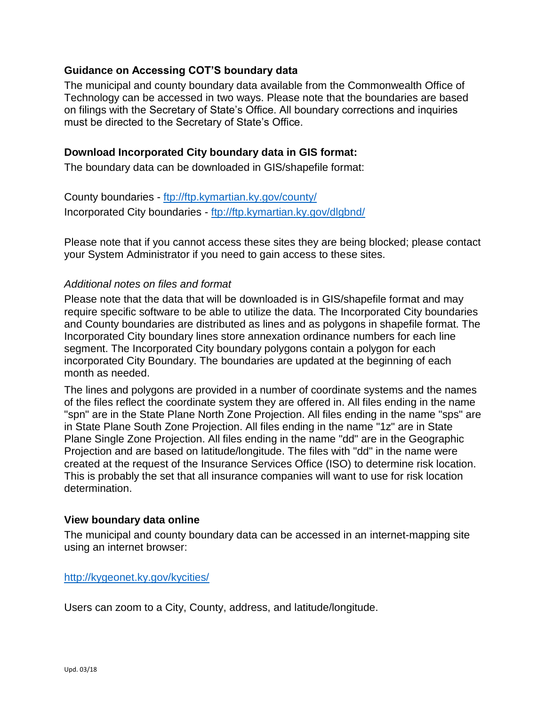# **Guidance on Accessing COT'S boundary data**

The municipal and county boundary data available from the Commonwealth Office of Technology can be accessed in two ways. Please note that the boundaries are based on filings with the Secretary of State's Office. All boundary corrections and inquiries must be directed to the Secretary of State's Office.

### **Download Incorporated City boundary data in GIS format:**

The boundary data can be downloaded in GIS/shapefile format:

County boundaries - <ftp://ftp.kymartian.ky.gov/county/> Incorporated City boundaries - <ftp://ftp.kymartian.ky.gov/dlgbnd/>

Please note that if you cannot access these sites they are being blocked; please contact your System Administrator if you need to gain access to these sites.

### *Additional notes on files and format*

Please note that the data that will be downloaded is in GIS/shapefile format and may require specific software to be able to utilize the data. The Incorporated City boundaries and County boundaries are distributed as lines and as polygons in shapefile format. The Incorporated City boundary lines store annexation ordinance numbers for each line segment. The Incorporated City boundary polygons contain a polygon for each incorporated City Boundary. The boundaries are updated at the beginning of each month as needed.

The lines and polygons are provided in a number of coordinate systems and the names of the files reflect the coordinate system they are offered in. All files ending in the name "spn" are in the State Plane North Zone Projection. All files ending in the name "sps" are in State Plane South Zone Projection. All files ending in the name "1z" are in State Plane Single Zone Projection. All files ending in the name "dd" are in the Geographic Projection and are based on latitude/longitude. The files with "dd" in the name were created at the request of the Insurance Services Office (ISO) to determine risk location. This is probably the set that all insurance companies will want to use for risk location determination.

#### **View boundary data online**

The municipal and county boundary data can be accessed in an internet-mapping site using an internet browser:

#### <http://kygeonet.ky.gov/kycities/>

Users can zoom to a City, County, address, and latitude/longitude.